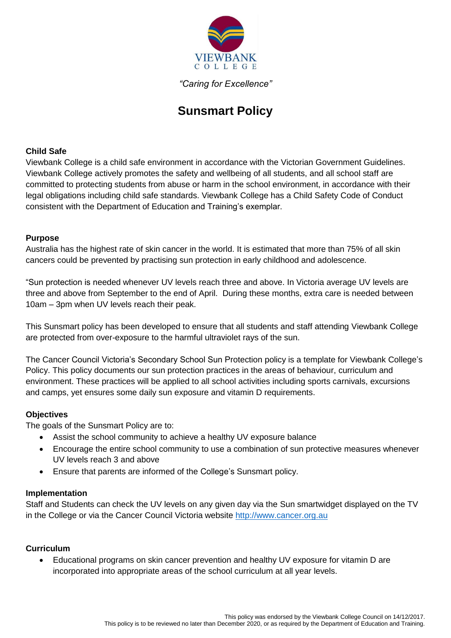

*"Caring for Excellence"*

# **Sunsmart Policy**

## **Child Safe**

Viewbank College is a child safe environment in accordance with the Victorian Government Guidelines. Viewbank College actively promotes the safety and wellbeing of all students, and all school staff are committed to protecting students from abuse or harm in the school environment, in accordance with their legal obligations including child safe standards. Viewbank College has a Child Safety Code of Conduct consistent with the Department of Education and Training's exemplar.

## **Purpose**

Australia has the highest rate of skin cancer in the world. It is estimated that more than 75% of all skin cancers could be prevented by practising sun protection in early childhood and adolescence.

"Sun protection is needed whenever UV levels reach three and above. In Victoria average UV levels are three and above from September to the end of April. During these months, extra care is needed between 10am – 3pm when UV levels reach their peak.

This Sunsmart policy has been developed to ensure that all students and staff attending Viewbank College are protected from over-exposure to the harmful ultraviolet rays of the sun.

The Cancer Council Victoria's Secondary School Sun Protection policy is a template for Viewbank College's Policy. This policy documents our sun protection practices in the areas of behaviour, curriculum and environment. These practices will be applied to all school activities including sports carnivals, excursions and camps, yet ensures some daily sun exposure and vitamin D requirements.

#### **Objectives**

The goals of the Sunsmart Policy are to:

- Assist the school community to achieve a healthy UV exposure balance
- Encourage the entire school community to use a combination of sun protective measures whenever UV levels reach 3 and above
- Ensure that parents are informed of the College's Sunsmart policy.

#### **Implementation**

Staff and Students can check the UV levels on any given day via the Sun smartwidget displayed on the TV in the College or via the Cancer Council Victoria website [http://www.cancer.org.au](http://www.cancer.org.au/)

#### **Curriculum**

 Educational programs on skin cancer prevention and healthy UV exposure for vitamin D are incorporated into appropriate areas of the school curriculum at all year levels.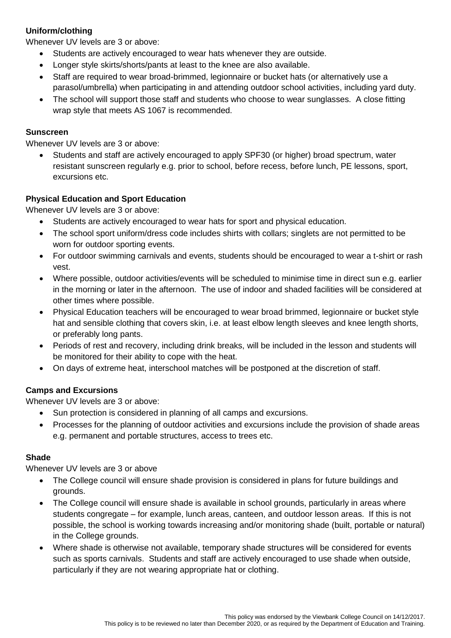# **Uniform/clothing**

Whenever UV levels are 3 or above:

- Students are actively encouraged to wear hats whenever they are outside.
- Longer style skirts/shorts/pants at least to the knee are also available.
- Staff are required to wear broad-brimmed, legionnaire or bucket hats (or alternatively use a parasol/umbrella) when participating in and attending outdoor school activities, including yard duty.
- The school will support those staff and students who choose to wear sunglasses. A close fitting wrap style that meets AS 1067 is recommended.

## **Sunscreen**

Whenever UV levels are 3 or above:

 Students and staff are actively encouraged to apply SPF30 (or higher) broad spectrum, water resistant sunscreen regularly e.g. prior to school, before recess, before lunch, PE lessons, sport, excursions etc.

## **Physical Education and Sport Education**

Whenever UV levels are 3 or above:

- Students are actively encouraged to wear hats for sport and physical education.
- The school sport uniform/dress code includes shirts with collars; singlets are not permitted to be worn for outdoor sporting events.
- For outdoor swimming carnivals and events, students should be encouraged to wear a t-shirt or rash vest.
- Where possible, outdoor activities/events will be scheduled to minimise time in direct sun e.g. earlier in the morning or later in the afternoon. The use of indoor and shaded facilities will be considered at other times where possible.
- Physical Education teachers will be encouraged to wear broad brimmed, legionnaire or bucket style hat and sensible clothing that covers skin, i.e. at least elbow length sleeves and knee length shorts, or preferably long pants.
- Periods of rest and recovery, including drink breaks, will be included in the lesson and students will be monitored for their ability to cope with the heat.
- On days of extreme heat, interschool matches will be postponed at the discretion of staff.

#### **Camps and Excursions**

Whenever UV levels are 3 or above:

- Sun protection is considered in planning of all camps and excursions.
- Processes for the planning of outdoor activities and excursions include the provision of shade areas e.g. permanent and portable structures, access to trees etc.

#### **Shade**

Whenever UV levels are 3 or above

- The College council will ensure shade provision is considered in plans for future buildings and grounds.
- The College council will ensure shade is available in school grounds, particularly in areas where students congregate – for example, lunch areas, canteen, and outdoor lesson areas. If this is not possible, the school is working towards increasing and/or monitoring shade (built, portable or natural) in the College grounds.
- Where shade is otherwise not available, temporary shade structures will be considered for events such as sports carnivals. Students and staff are actively encouraged to use shade when outside, particularly if they are not wearing appropriate hat or clothing.